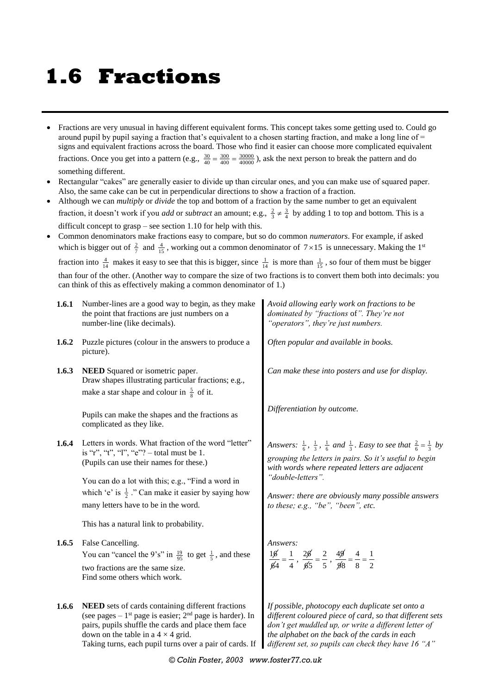## **1.6 Fractions**

- Fractions are very unusual in having different equivalent forms. This concept takes some getting used to. Could go around pupil by pupil saying a fraction that's equivalent to a chosen starting fraction, and make a long line of = signs and equivalent fractions across the board. Those who find it easier can choose more complicated equivalent fractions. Once you get into a pattern (e.g.,  $\frac{30}{40} = \frac{3000}{4000} = \frac{30000}{40000}$ ), ask the next person to break the pattern and do something different.
- Rectangular "cakes" are generally easier to divide up than circular ones, and you can make use of squared paper. Also, the same cake can be cut in perpendicular directions to show a fraction of a fraction.
- Although we can *multiply* or *divide* the top and bottom of a fraction by the same number to get an equivalent fraction, it doesn't work if you *add* or *subtract* an amount; e.g.,  $\frac{2}{3} \neq \frac{3}{4}$  by adding 1 to top and bottom. This is a difficult concept to grasp – see section 1.10 for help with this.
- Common denominators make fractions easy to compare, but so do common *numerators*. For example, if asked which is bigger out of  $\frac{2}{7}$  and  $\frac{4}{15}$ , working out a common denominator of  $7 \times 15$  is unnecessary. Making the 1<sup>st</sup>

fraction into  $\frac{4}{14}$  makes it easy to see that this is bigger, since  $\frac{1}{14}$  is more than  $\frac{1}{15}$ , so four of them must be bigger than four of the other. (Another way to compare the size of two fractions is to convert them both into decimals: you can think of this as effectively making a common denominator of 1.)

| 1.6.1 | Number-lines are a good way to begin, as they make<br>the point that fractions are just numbers on a<br>number-line (like decimals).                                                                                                                                                        | Avoid allowing early work on fractions to be<br>dominated by "fractions of". They're not<br>"operators", they're just numbers.                                                                                                                                               |  |
|-------|---------------------------------------------------------------------------------------------------------------------------------------------------------------------------------------------------------------------------------------------------------------------------------------------|------------------------------------------------------------------------------------------------------------------------------------------------------------------------------------------------------------------------------------------------------------------------------|--|
| 1.6.2 | Puzzle pictures (colour in the answers to produce a<br>picture).                                                                                                                                                                                                                            | Often popular and available in books.                                                                                                                                                                                                                                        |  |
| 1.6.3 | <b>NEED</b> Squared or isometric paper.<br>Draw shapes illustrating particular fractions; e.g.,<br>make a star shape and colour in $\frac{5}{8}$ of it.                                                                                                                                     | Can make these into posters and use for display.                                                                                                                                                                                                                             |  |
|       | Pupils can make the shapes and the fractions as<br>complicated as they like.                                                                                                                                                                                                                | Differentiation by outcome.                                                                                                                                                                                                                                                  |  |
| 1.6.4 | Letters in words. What fraction of the word "letter"<br>is "r", "t", "l", "e"? – total must be 1.<br>(Pupils can use their names for these.)                                                                                                                                                | Answers: $\frac{1}{6}$ , $\frac{1}{3}$ , $\frac{1}{6}$ and $\frac{1}{3}$ . Easy to see that $\frac{2}{6} = \frac{1}{3}$ by<br>grouping the letters in pairs. So it's useful to begin<br>with words where repeated letters are adjacent<br>"double-letters".                  |  |
|       | You can do a lot with this; e.g., "Find a word in<br>which 'e' is $\frac{1}{2}$ ." Can make it easier by saying how<br>many letters have to be in the word.                                                                                                                                 | Answer: there are obviously many possible answers<br>to these; $e.g., "be", "been", etc.$                                                                                                                                                                                    |  |
|       | This has a natural link to probability.                                                                                                                                                                                                                                                     |                                                                                                                                                                                                                                                                              |  |
| 1.6.5 | False Cancelling.<br>You can "cancel the 9's" in $\frac{19}{95}$ to get $\frac{1}{5}$ , and these<br>two fractions are the same size.<br>Find some others which work.                                                                                                                       | Answers:<br>$\frac{16}{64} = \frac{1}{4}$ , $\frac{26}{65} = \frac{2}{5}$ , $\frac{49}{98} = \frac{4}{8} = \frac{1}{2}$                                                                                                                                                      |  |
| 1.6.6 | NEED sets of cards containing different fractions<br>(see pages $-1$ <sup>st</sup> page is easier; $2nd$ page is harder). In<br>pairs, pupils shuffle the cards and place them face<br>down on the table in a $4 \times 4$ grid.<br>Taking turns, each pupil turns over a pair of cards. If | If possible, photocopy each duplicate set onto a<br>different coloured piece of card, so that different sets<br>don't get muddled up, or write a different letter of<br>the alphabet on the back of the cards in each<br>different set, so pupils can check they have 16 "A" |  |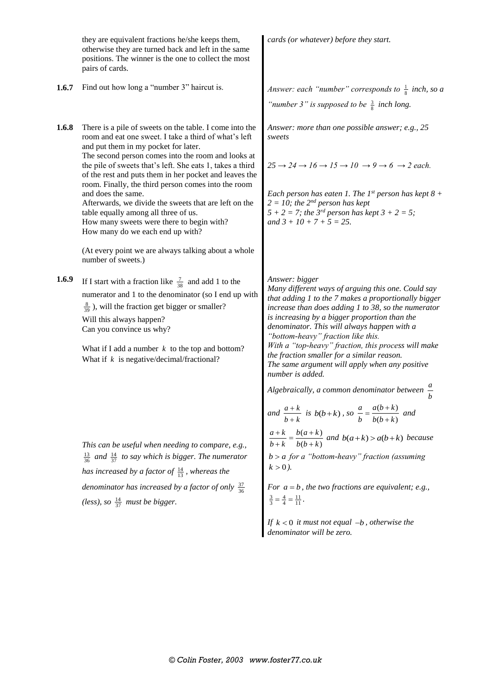they are equivalent fractions he/she keeps them, otherwise they are turned back and left in the same positions. The winner is the one to collect the most pairs of cards. *cards (or whatever) before they start.* **1.6.7** Find out how long a "number 3" haircut is. *Answer: each "number" corresponds to*  $\frac{1}{8}$  *inch, so a* "*number 3*" is supposed to be  $\frac{3}{8}$  inch long. **1.6.8** There is a pile of sweets on the table. I come into the room and eat one sweet. I take a third of what's left and put them in my pocket for later. The second person comes into the room and looks at the pile of sweets that's left. She eats 1, takes a third of the rest and puts them in her pocket and leaves the room. Finally, the third person comes into the room and does the same. Afterwards, we divide the sweets that are left on the table equally among all three of us. How many sweets were there to begin with? How many do we each end up with? (At every point we are always talking about a whole number of sweets.) *Answer: more than one possible answer; e.g., 25 sweets*  $25 \rightarrow 24 \rightarrow 16 \rightarrow 15 \rightarrow 10 \rightarrow 9 \rightarrow 6 \rightarrow 2$  each. *Each person has eaten 1. The 1<sup>st</sup> person has kept*  $8 +$  $2 = 10$ ; the  $2^{nd}$  person has kept  $5 + 2 = 7$ ; the 3<sup>*rd*</sup> person has kept  $3 + 2 = 5$ ; *and 3 + 10 + 7 + 5 = 25.* **1.6.9** If I start with a fraction like  $\frac{7}{38}$  and add 1 to the numerator and 1 to the denominator (so I end up with  $\frac{8}{39}$ ), will the fraction get bigger or smaller? Will this always happen? Can you convince us why? What if I add a number  $k$  to the top and bottom? What if  $k$  is negative/decimal/fractional? *This can be useful when needing to compare, e.g.,*   $\frac{13}{36}$  and  $\frac{14}{37}$  to say which is bigger. The numerator has increased by a factor of  $\frac{14}{13}$ , whereas the denominator has increased by a factor of only  $\frac{37}{36}$ *(less), so*  $\frac{14}{37}$  *must be bigger. Answer: bigger Many different ways of arguing this one. Could say that adding 1 to the 7 makes a proportionally bigger increase than does adding 1 to 38, so the numerator is increasing by a bigger proportion than the denominator. This will always happen with a "bottom-heavy" fraction like this. With a "top-heavy" fraction, this process will make the fraction smaller for a similar reason. The same argument will apply when any positive number is added. Algebraically, a common denominator between a b* and  $\frac{a+k}{b}$ *b k*  $^{+}$  $\frac{+k}{+k}$  is  $b(b+k)$ , so  $\frac{a}{b} = \frac{a(b+k)}{b(b+k)}$  $(b+k)$  $a$   $a(b+k)$ b  $b(b+k)$  $=\frac{a(b+k)}{b(b+k)}$  and  $(a + k)$  $(b+k)$  $a+k$   $b(a+k)$  $b+k$  *b*( $b+k$  $\frac{1+k}{k} = \frac{b(a+k)}{b(b+k)}$  and  $b(a+k) > a(b+k)$  because *b a for a "bottom-heavy" fraction (assuming*   $k > 0$ ). For  $a = b$ , the two fractions are equivalent; e.g.,  $\frac{3}{3} = \frac{4}{4} = \frac{11}{11}$ .

> If  $k < 0$  *it must not equal*  $-b$ *, otherwise the denominator will be zero.*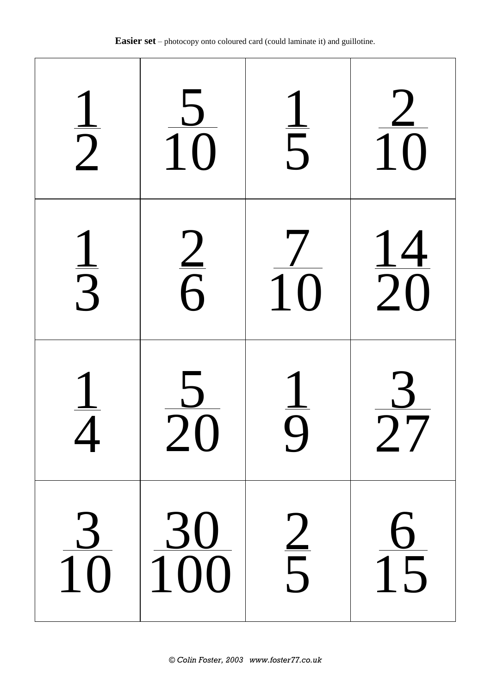| $\frac{1}{2}$  | $rac{5}{10}$     | $\frac{1}{5}$   | $\frac{2}{10}$  |
|----------------|------------------|-----------------|-----------------|
| $\frac{1}{3}$  | $\frac{2}{6}$    | $\overline{10}$ | $\frac{14}{20}$ |
| $\sqrt{2}$     | $\angle$ ()      |                 | $\frac{1}{2}$   |
| $\frac{3}{10}$ | $\frac{30}{100}$ | $\frac{2}{5}$   | $\frac{6}{15}$  |